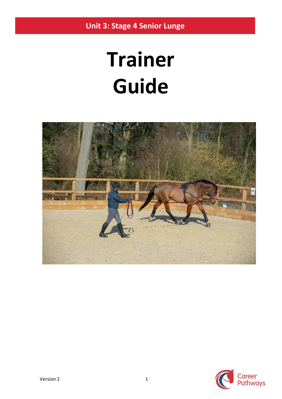**Unit 3: Stage 4 Senior Lunge**

# **Trainer Guide**



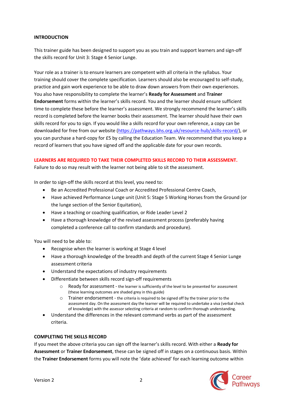#### **INTRODUCTION**

This trainer guide has been designed to support you as you train and support learners and sign-off the skills record for Unit 3: Stage 4 Senior Lunge.

Your role as a trainer is to ensure learners are competent with all criteria in the syllabus. Your training should cover the complete specification. Learners should also be encouraged to self-study, practice and gain work experience to be able to draw down answers from their own experiences. You also have responsibility to complete the learner's **Ready for Assessment** and **Trainer Endorsement** forms within the learner's skills record. You and the learner should ensure sufficient time to complete these before the learner's assessment. We strongly recommend the learner's skills record is completed before the learner books their assessment. The learner should have their own skills record for you to sign. If you would like a skills record for your own reference, a copy can be downloaded for free from our website [\(https://pathways.bhs.org.uk/resource-hub/skills-record/\)](https://pathways.bhs.org.uk/resource-hub/skills-record/), or you can purchase a hard-copy for £5 by calling the Education Team. We recommend that you keep a record of learners that you have signed off and the applicable date for your own records.

#### **LEARNERS ARE REQUIRED TO TAKE THEIR COMPLETED SKILLS RECORD TO THEIR ASSESSMENT.**

Failure to do so may result with the learner not being able to sit the assessment.

In order to sign-off the skills record at this level, you need to:

- Be an Accredited Professional Coach or Accredited Professional Centre Coach,
- Have achieved Performance Lunge unit (Unit 5: Stage 5 Working Horses from the Ground (or the lunge section of the Senior Equitation),
- Have a teaching or coaching qualification, or Ride Leader Level 2
- Have a thorough knowledge of the revised assessment process (preferably having completed a conference call to confirm standards and procedure).

You will need to be able to:

- Recognise when the learner is working at Stage 4 level
- Have a thorough knowledge of the breadth and depth of the current Stage 4 Senior Lunge assessment criteria
- Understand the expectations of industry requirements
- Differentiate between skills record sign-off requirements
	- o Ready for assessment the learner is sufficiently of the level to be presented for assessment (these learning outcomes are shaded grey in this guide)
	- $\circ$  Trainer endorsement the criteria is required to be signed off by the trainer prior to the assessment day. On the assessment day the learner will be required to undertake a viva (verbal check of knowledge) with the assessor selecting criteria at random to confirm thorough understanding.
- Understand the differences in the relevant command verbs as part of the assessment criteria.

### **COMPLETING THE SKILLS RECORD**

If you meet the above criteria you can sign off the learner's skills record. With either a **Ready for Assessment** or **Trainer Endorsement**, these can be signed off in stages on a continuous basis. Within the **Trainer Endorsement** forms you will note the 'date achieved' for each learning outcome within

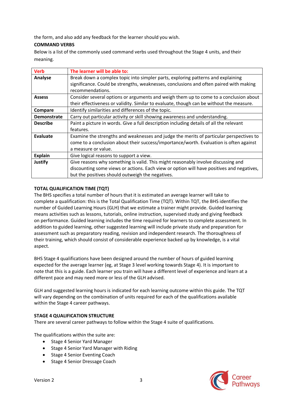the form, and also add any feedback for the learner should you wish.

### **COMMAND VERBS**

Below is a list of the commonly used command verbs used throughout the Stage 4 units, and their meaning.

| <b>Verb</b>        | The learner will be able to:                                                              |
|--------------------|-------------------------------------------------------------------------------------------|
| Analyse            | Break down a complex topic into simpler parts, exploring patterns and explaining          |
|                    | significance. Could be strengths, weaknesses, conclusions and often paired with making    |
|                    | recommendations.                                                                          |
| <b>Assess</b>      | Consider several options or arguments and weigh them up to come to a conclusion about     |
|                    | their effectiveness or validity. Similar to evaluate, though can be without the measure.  |
| Compare            | Identify similarities and differences of the topic.                                       |
| <b>Demonstrate</b> | Carry out particular activity or skill showing awareness and understanding.               |
| <b>Describe</b>    | Paint a picture in words. Give a full description including details of all the relevant   |
|                    | features.                                                                                 |
| Evaluate           | Examine the strengths and weaknesses and judge the merits of particular perspectives to   |
|                    | come to a conclusion about their success/importance/worth. Evaluation is often against    |
|                    | a measure or value.                                                                       |
| <b>Explain</b>     | Give logical reasons to support a view.                                                   |
| <b>Justify</b>     | Give reasons why something is valid. This might reasonably involve discussing and         |
|                    | discounting some views or actions. Each view or option will have positives and negatives, |
|                    | but the positives should outweigh the negatives.                                          |

### **TOTAL QUALIFICATION TIME (TQT)**

The BHS specifies a total number of hours that it is estimated an average learner will take to complete a qualification: this is the Total Qualification Time (TQT). Within TQT, the BHS identifies the number of Guided Learning Hours (GLH) that we estimate a trainer might provide. Guided learning means activities such as lessons, tutorials, online instruction, supervised study and giving feedback on performance. Guided learning includes the time required for learners to complete assessment. In addition to guided learning, other suggested learning will include private study and preparation for assessment such as preparatory reading, revision and independent research. The thoroughness of their training, which should consist of considerable experience backed up by knowledge, is a vital aspect.

BHS Stage 4 qualifications have been designed around the number of hours of guided learning expected for the average learner (eg, at Stage 3 level working towards Stage 4). It is important to note that this is a guide. Each learner you train will have a different level of experience and learn at a different pace and may need more or less of the GLH advised.

GLH and suggested learning hours is indicated for each learning outcome within this guide. The TQT will vary depending on the combination of units required for each of the qualifications available within the Stage 4 career pathways.

### **STAGE 4 QUALIFICATION STRUCTURE**

There are several career pathways to follow within the Stage 4 suite of qualifications.

The qualifications within the suite are:

- Stage 4 Senior Yard Manager
- Stage 4 Senior Yard Manager with Riding
- Stage 4 Senior Eventing Coach
- Stage 4 Senior Dressage Coach

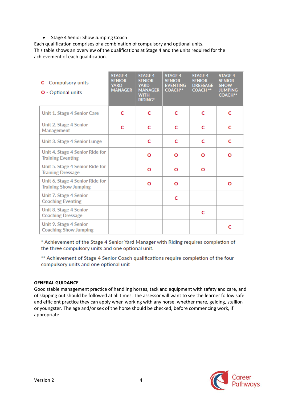## • Stage 4 Senior Show Jumping Coach

Each qualification comprises of a combination of compulsory and optional units. This table shows an overview of the qualifications at Stage 4 and the units required for the achievement of each qualification.

| C - Compulsory units<br><b>O</b> - Optional units               | <b>STAGE 4</b><br><b>SENIOR</b><br><b>YARD</b><br><b>MANAGER</b> | <b>STAGE 4</b><br><b>SENIOR</b><br><b>YARD</b><br><b>MANAGER</b><br><b>WITH</b><br><b>RIDING*</b> | <b>STAGE 4</b><br><b>SENIOR</b><br><b>EVENTING</b><br><b>COACH**</b> | <b>STAGE 4</b><br><b>SENIOR</b><br><b>DRESSAGE</b><br><b>COACH **</b> | <b>STAGE 4</b><br><b>SENIOR</b><br><b>SHOW</b><br><b>JUMPING</b><br><b>COACH**</b> |
|-----------------------------------------------------------------|------------------------------------------------------------------|---------------------------------------------------------------------------------------------------|----------------------------------------------------------------------|-----------------------------------------------------------------------|------------------------------------------------------------------------------------|
| Unit 1. Stage 4 Senior Care                                     | C                                                                | C                                                                                                 | c                                                                    | C                                                                     | c                                                                                  |
| Unit 2. Stage 4 Senior<br>Management                            | C                                                                | c                                                                                                 | c                                                                    | C                                                                     | C                                                                                  |
| Unit 3. Stage 4 Senior Lunge                                    |                                                                  | C                                                                                                 | c                                                                    | C                                                                     | C                                                                                  |
| Unit 4. Stage 4 Senior Ride for<br><b>Training Eventing</b>     |                                                                  | Ο                                                                                                 | Ο                                                                    | Ο                                                                     | Ο                                                                                  |
| Unit 5. Stage 4 Senior Ride for<br><b>Training Dressage</b>     |                                                                  | Ο                                                                                                 | Ο                                                                    | Ο                                                                     |                                                                                    |
| Unit 6. Stage 4 Senior Ride for<br><b>Training Show Jumping</b> |                                                                  | Ο                                                                                                 | Ο                                                                    |                                                                       | Ο                                                                                  |
| Unit 7. Stage 4 Senior<br><b>Coaching Eventing</b>              |                                                                  |                                                                                                   | C                                                                    |                                                                       |                                                                                    |
| Unit 8. Stage 4 Senior<br><b>Coaching Dressage</b>              |                                                                  |                                                                                                   |                                                                      | c                                                                     |                                                                                    |
| Unit 9. Stage 4 Senior<br><b>Coaching Show Jumping</b>          |                                                                  |                                                                                                   |                                                                      |                                                                       | c                                                                                  |

\* Achievement of the Stage 4 Senior Yard Manager with Riding requires completion of the three compulsory units and one optional unit.

\*\* Achievement of Stage 4 Senior Coach qualifications require completion of the four compulsory units and one optional unit

### **GENERAL GUIDANCE**

Good stable management practice of handling horses, tack and equipment with safety and care, and of skipping out should be followed at all times. The assessor will want to see the learner follow safe and efficient practice they can apply when working with any horse, whether mare, gelding, stallion or youngster. The age and/or sex of the horse should be checked, before commencing work, if appropriate.

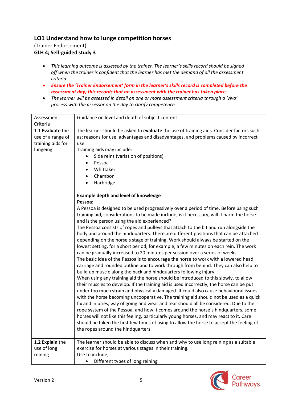# **LO1 Understand how to lunge competition horses**

(Trainer Endorsement) **GLH 4; Self-guided study 3**

- *This learning outcome is assessed by the trainer. The learner's skills record should be signed off when the trainer is confident that the learner has met the demand of all the assessment criteria*
- *Ensure the 'Trainer Endorsement' form in the learner's skills record is completed before the assessment day; this records that an assessment with the trainer has taken place*
- *The learner will be assessed in detail on one or more assessment criteria through a 'viva' process with the assessor on the day to clarify competence.*

| Assessment        | Guidance on level and depth of subject content                                           |
|-------------------|------------------------------------------------------------------------------------------|
| Criteria          |                                                                                          |
| 1.1 Evaluate the  | The learner should be asked to evaluate the use of training aids. Consider factors such  |
| use of a range of | as; reasons for use, advantages and disadvantages, and problems caused by incorrect      |
| training aids for | use.                                                                                     |
| lungeing          | Training aids may include:                                                               |
|                   | Side reins (variation of positions)                                                      |
|                   | Pessoa                                                                                   |
|                   | Whittaker<br>$\bullet$                                                                   |
|                   | Chambon<br>$\bullet$                                                                     |
|                   | Harbridge                                                                                |
|                   |                                                                                          |
|                   | <b>Example depth and level of knowledge</b>                                              |
|                   | Pessoa:                                                                                  |
|                   | A Pessoa is designed to be used progressively over a period of time. Before using such   |
|                   | training aid, considerations to be made include, is it necessary, will it harm the horse |
|                   | and is the person using the aid experienced?                                             |
|                   | The Pessoa consists of ropes and pulleys that attach to the bit and run alongside the    |
|                   | body and around the hindquarters. There are different positions that can be attached     |
|                   | depending on the horse's stage of training. Work should always be started on the         |
|                   | lowest setting, for a short period, for example, a few minutes on each rein. The work    |
|                   | can be gradually increased to 20 minutes per session over a series of weeks.             |
|                   | The basic idea of the Pessoa is to encourage the horse to work with a lowered head       |
|                   | carriage and rounded outline and to work through from behind. They can also help to      |
|                   | build up muscle along the back and hindquarters following injury.                        |
|                   | When using any training aid the horse should be introduced to this slowly, to allow      |
|                   | their muscles to develop. If the training aid is used incorrectly, the horse can be put  |
|                   | under too much strain and physically damaged. It could also cause behavioural issues     |
|                   | with the horse becoming uncooperative. The training aid should not be used as a quick    |
|                   | fix and injuries, way of going and wear and tear should all be considered. Due to the    |
|                   | rope system of the Pessoa, and how it comes around the horse's hindquarters, some        |
|                   | horses will not like this feeling, particularly young horses, and may react to it. Care  |
|                   | should be taken the first few times of using to allow the horse to accept the feeling of |
|                   | the ropes around the hindquarters.                                                       |
| 1.2 Explain the   | The learner should be able to discuss when and why to use long reining as a suitable     |
| use of long       | exercise for horses at various stages in their training.                                 |
| reining           | Use to include;                                                                          |
|                   | Different types of long reining                                                          |
|                   |                                                                                          |

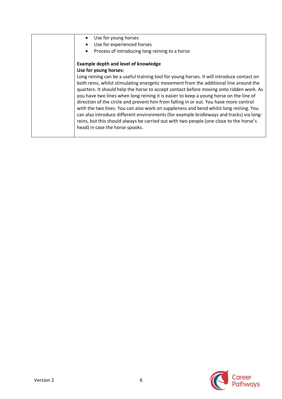| Use for young horses                                                                                                                                                                                                                                                                                                                                                                                                                                                                                                                                                                                                                                                                                                                                                              |
|-----------------------------------------------------------------------------------------------------------------------------------------------------------------------------------------------------------------------------------------------------------------------------------------------------------------------------------------------------------------------------------------------------------------------------------------------------------------------------------------------------------------------------------------------------------------------------------------------------------------------------------------------------------------------------------------------------------------------------------------------------------------------------------|
| Use for experienced horses<br>$\bullet$                                                                                                                                                                                                                                                                                                                                                                                                                                                                                                                                                                                                                                                                                                                                           |
| Process of introducing long reining to a horse<br>$\bullet$                                                                                                                                                                                                                                                                                                                                                                                                                                                                                                                                                                                                                                                                                                                       |
| <b>Example depth and level of knowledge</b>                                                                                                                                                                                                                                                                                                                                                                                                                                                                                                                                                                                                                                                                                                                                       |
| Use for young horses:                                                                                                                                                                                                                                                                                                                                                                                                                                                                                                                                                                                                                                                                                                                                                             |
| Long reining can be a useful training tool for young horses. It will introduce contact on<br>both reins, whilst stimulating energetic movement from the additional line around the<br>quarters. It should help the horse to accept contact before moving onto ridden work. As<br>you have two lines when long reining it is easier to keep a young horse on the line of<br>direction of the circle and prevent him from falling in or out. You have more control<br>with the two lines. You can also work on suppleness and bend whilst long reining. You<br>can also introduce different environments (for example bridleways and tracks) via long-<br>reins, but this should always be carried out with two people (one close to the horse's<br>head) in case the horse spooks. |

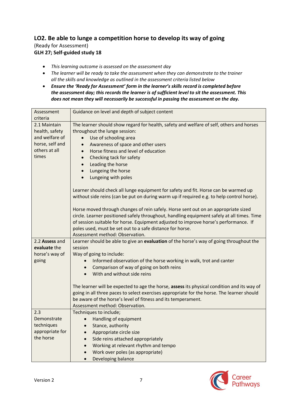## **LO2. Be able to lunge a competition horse to develop its way of going** (Ready for Assessment) **GLH 27; Self-guided study 18**

- *This learning outcome is assessed on the assessment day*
- *The learner will be ready to take the assessment when they can demonstrate to the trainer all the skills and knowledge as outlined in the assessment criteria listed below*
- *Ensure the 'Ready for Assessment' form in the learner's skills record is completed before the assessment day; this records the learner is of sufficient level to sit the assessment. This does not mean they will necessarily be successful in passing the assessment on the day.*

| Assessment<br>criteria                                                                        | Guidance on level and depth of subject content                                                                                                                                                                                                                                                                                                                                                                                                                                                                   |
|-----------------------------------------------------------------------------------------------|------------------------------------------------------------------------------------------------------------------------------------------------------------------------------------------------------------------------------------------------------------------------------------------------------------------------------------------------------------------------------------------------------------------------------------------------------------------------------------------------------------------|
| 2.1 Maintain<br>health, safety<br>and welfare of<br>horse, self and<br>others at all<br>times | The learner should show regard for health, safety and welfare of self, others and horses<br>throughout the lunge session:<br>Use of schooling area<br>$\bullet$<br>Awareness of space and other users<br>$\bullet$<br>Horse fitness and level of education<br>$\bullet$<br>Checking tack for safety<br>$\bullet$<br>Leading the horse<br>$\bullet$<br>Lungeing the horse<br>$\bullet$<br>Lungeing with poles<br>$\bullet$<br>Learner should check all lunge equipment for safety and fit. Horse can be warmed up |
|                                                                                               | without side reins (can be put on during warm up if required e.g. to help control horse).<br>Horse moved through changes of rein safely. Horse sent out on an appropriate sized<br>circle. Learner positioned safely throughout, handling equipment safely at all times. Time<br>of session suitable for horse. Equipment adjusted to improve horse's performance. If<br>poles used, must be set out to a safe distance for horse.<br>Assessment method: Observation.                                            |
| 2.2 Assess and<br>evaluate the<br>horse's way of<br>going                                     | Learner should be able to give an evaluation of the horse's way of going throughout the<br>session<br>Way of going to include:<br>Informed observation of the horse working in walk, trot and canter<br>Comparison of way of going on both reins<br>With and without side reins<br>$\bullet$                                                                                                                                                                                                                     |
|                                                                                               | The learner will be expected to age the horse, assess its physical condition and its way of<br>going in all three paces to select exercises appropriate for the horse. The learner should<br>be aware of the horse's level of fitness and its temperament.<br>Assessment method: Observation.                                                                                                                                                                                                                    |
| 2.3<br>Demonstrate<br>techniques<br>appropriate for<br>the horse                              | Techniques to include;<br>• Handling of equipment<br>Stance, authority<br>Appropriate circle size<br>$\bullet$<br>Side reins attached appropriately<br>$\bullet$<br>Working at relevant rhythm and tempo<br>Work over poles (as appropriate)<br>$\bullet$<br>Developing balance<br>$\bullet$                                                                                                                                                                                                                     |

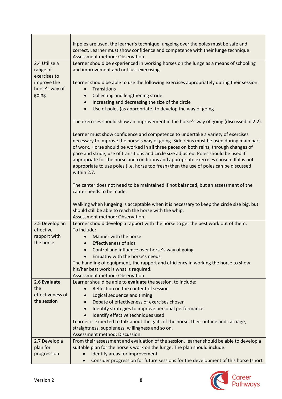|                                           | If poles are used, the learner's technique lungeing over the poles must be safe and<br>correct. Learner must show confidence and competence with their lunge technique.<br>Assessment method: Observation.                                                                                                                                                                                                                                                                                                                                                      |
|-------------------------------------------|-----------------------------------------------------------------------------------------------------------------------------------------------------------------------------------------------------------------------------------------------------------------------------------------------------------------------------------------------------------------------------------------------------------------------------------------------------------------------------------------------------------------------------------------------------------------|
| 2.4 Utilise a<br>range of<br>exercises to | Learner should be experienced in working horses on the lunge as a means of schooling<br>and improvement and not just exercising.                                                                                                                                                                                                                                                                                                                                                                                                                                |
| improve the<br>horse's way of             | Learner should be able to use the following exercises appropriately during their session:<br>Transitions<br>$\bullet$                                                                                                                                                                                                                                                                                                                                                                                                                                           |
| going                                     | Collecting and lengthening stride<br>$\bullet$                                                                                                                                                                                                                                                                                                                                                                                                                                                                                                                  |
|                                           | Increasing and decreasing the size of the circle<br>$\bullet$                                                                                                                                                                                                                                                                                                                                                                                                                                                                                                   |
|                                           | Use of poles (as appropriate) to develop the way of going<br>$\bullet$                                                                                                                                                                                                                                                                                                                                                                                                                                                                                          |
|                                           | The exercises should show an improvement in the horse's way of going (discussed in 2.2).                                                                                                                                                                                                                                                                                                                                                                                                                                                                        |
|                                           | Learner must show confidence and competence to undertake a variety of exercises<br>necessary to improve the horse's way of going. Side reins must be used during main part<br>of work. Horse should be worked in all three paces on both reins, through changes of<br>pace and stride, use of transitions and circle size adjusted. Poles should be used if<br>appropriate for the horse and conditions and appropriate exercises chosen. If it is not<br>appropriate to use poles (i.e. horse too fresh) then the use of poles can be discussed<br>within 2.7. |
|                                           | The canter does not need to be maintained if not balanced, but an assessment of the<br>canter needs to be made.                                                                                                                                                                                                                                                                                                                                                                                                                                                 |
|                                           | Walking when lungeing is acceptable when it is necessary to keep the circle size big, but<br>should still be able to reach the horse with the whip.<br>Assessment method: Observation.                                                                                                                                                                                                                                                                                                                                                                          |
| 2.5 Develop an                            | Learner should develop a rapport with the horse to get the best work out of them.                                                                                                                                                                                                                                                                                                                                                                                                                                                                               |
| effective                                 | To include:                                                                                                                                                                                                                                                                                                                                                                                                                                                                                                                                                     |
| rapport with                              | Manner with the horse                                                                                                                                                                                                                                                                                                                                                                                                                                                                                                                                           |
| the horse                                 | <b>Effectiveness of aids</b>                                                                                                                                                                                                                                                                                                                                                                                                                                                                                                                                    |
|                                           | Control and influence over horse's way of going<br>$\bullet$                                                                                                                                                                                                                                                                                                                                                                                                                                                                                                    |
|                                           | Empathy with the horse's needs                                                                                                                                                                                                                                                                                                                                                                                                                                                                                                                                  |
|                                           | The handling of equipment, the rapport and efficiency in working the horse to show                                                                                                                                                                                                                                                                                                                                                                                                                                                                              |
|                                           | his/her best work is what is required.                                                                                                                                                                                                                                                                                                                                                                                                                                                                                                                          |
|                                           | Assessment method: Observation.                                                                                                                                                                                                                                                                                                                                                                                                                                                                                                                                 |
| 2.6 Evaluate                              | Learner should be able to evaluate the session, to include:                                                                                                                                                                                                                                                                                                                                                                                                                                                                                                     |
| the                                       | Reflection on the content of session                                                                                                                                                                                                                                                                                                                                                                                                                                                                                                                            |
| effectiveness of                          | Logical sequence and timing                                                                                                                                                                                                                                                                                                                                                                                                                                                                                                                                     |
| the session                               | Debate of effectiveness of exercises chosen                                                                                                                                                                                                                                                                                                                                                                                                                                                                                                                     |
|                                           | Identify strategies to improve personal performance<br>$\bullet$                                                                                                                                                                                                                                                                                                                                                                                                                                                                                                |
|                                           | Identify effective techniques used<br>$\bullet$                                                                                                                                                                                                                                                                                                                                                                                                                                                                                                                 |
|                                           | Learner is expected to talk about the gaits of the horse, their outline and carriage,                                                                                                                                                                                                                                                                                                                                                                                                                                                                           |
|                                           | straightness, suppleness, willingness and so on.                                                                                                                                                                                                                                                                                                                                                                                                                                                                                                                |
|                                           | Assessment method: Discussion.                                                                                                                                                                                                                                                                                                                                                                                                                                                                                                                                  |
| 2.7 Develop a                             | From their assessment and evaluation of the session, learner should be able to develop a                                                                                                                                                                                                                                                                                                                                                                                                                                                                        |
| plan for                                  | suitable plan for the horse's work on the lunge. The plan should include:                                                                                                                                                                                                                                                                                                                                                                                                                                                                                       |
| progression                               | Identify areas for improvement<br>Consider progression for future sessions for the development of this horse (short                                                                                                                                                                                                                                                                                                                                                                                                                                             |
|                                           |                                                                                                                                                                                                                                                                                                                                                                                                                                                                                                                                                                 |